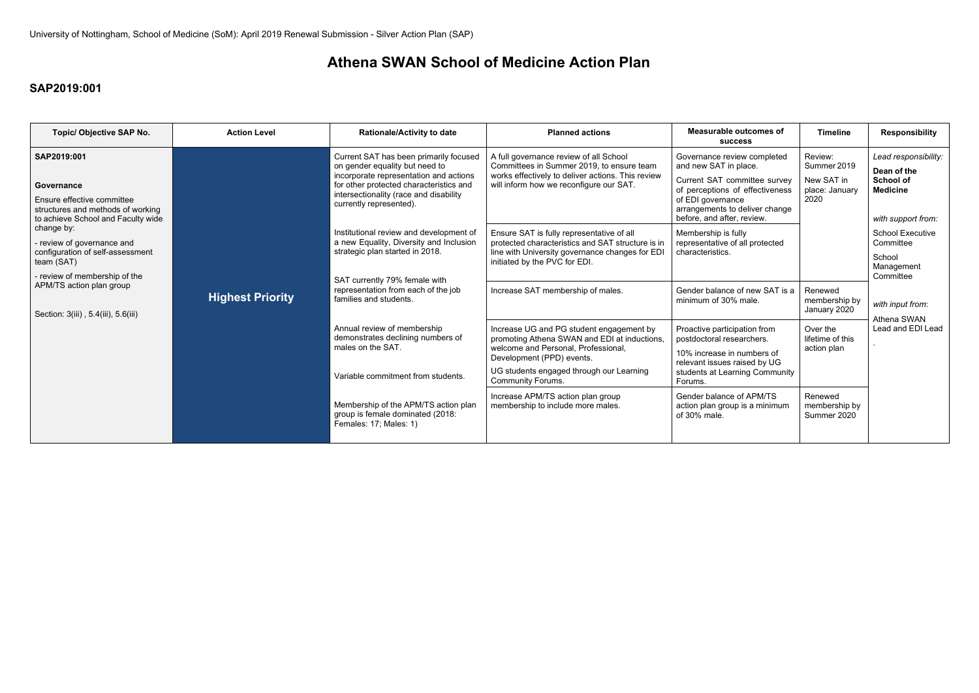## **SAP2019:001**

# **Athena SWAN School of Medicine Action Plan**

| Topic/ Objective SAP No.                                                                                                           | <b>Action Level</b>     | <b>Rationale/Activity to date</b>                                                                                                                                                                                                  | <b>Planned actions</b>                                                                                                                                                                                                               | <b>Measurable outcomes of</b><br><b>SUCCESS</b>                                                                                                                                                              | <b>Timeline</b>                                                | <b>Responsibility</b>                                                                            |
|------------------------------------------------------------------------------------------------------------------------------------|-------------------------|------------------------------------------------------------------------------------------------------------------------------------------------------------------------------------------------------------------------------------|--------------------------------------------------------------------------------------------------------------------------------------------------------------------------------------------------------------------------------------|--------------------------------------------------------------------------------------------------------------------------------------------------------------------------------------------------------------|----------------------------------------------------------------|--------------------------------------------------------------------------------------------------|
| SAP2019:001<br>Governance<br>Ensure effective committee<br>structures and methods of working<br>to achieve School and Faculty wide |                         | Current SAT has been primarily focused<br>on gender equality but need to<br>incorporate representation and actions<br>for other protected characteristics and<br>intersectionality (race and disability<br>currently represented). | A full governance review of all School<br>Committees in Summer 2019, to ensure team<br>works effectively to deliver actions. This review<br>will inform how we reconfigure our SAT.                                                  | Governance review completed<br>and new SAT in place.<br>Current SAT committee survey<br>of perceptions of effectiveness<br>of EDI governance<br>arrangements to deliver change<br>before, and after, review. | Review:<br>Summer 2019<br>New SAT in<br>place: January<br>2020 | Lead responsibility:<br>Dean of the<br><b>School of</b><br><b>Medicine</b><br>with support from: |
| change by:<br>- review of governance and<br>configuration of self-assessment<br>team (SAT)<br>- review of membership of the        |                         | Institutional review and development of<br>a new Equality, Diversity and Inclusion<br>strategic plan started in 2018.                                                                                                              | Ensure SAT is fully representative of all<br>protected characteristics and SAT structure is in<br>line with University governance changes for EDI<br>initiated by the PVC for EDI.                                                   | Membership is fully<br>representative of all protected<br>characteristics.                                                                                                                                   |                                                                | <b>School Executive</b><br>Committee<br>School<br>Management<br>Committee                        |
| APM/TS action plan group<br>Section: 3(iii), 5.4(iii), 5.6(iii)                                                                    | <b>Highest Priority</b> | SAT currently 79% female with<br>representation from each of the job<br>families and students.                                                                                                                                     | Increase SAT membership of males.                                                                                                                                                                                                    | Gender balance of new SAT is a<br>minimum of 30% male.                                                                                                                                                       | Renewed<br>membership by<br>January 2020                       | with input from:<br>Athena SWAN                                                                  |
|                                                                                                                                    |                         | Annual review of membership<br>demonstrates declining numbers of<br>males on the SAT.<br>Variable commitment from students.                                                                                                        | Increase UG and PG student engagement by<br>promoting Athena SWAN and EDI at inductions,<br>welcome and Personal, Professional,<br>Development (PPD) events.<br>UG students engaged through our Learning<br><b>Community Forums.</b> | Proactive participation from<br>postdoctoral researchers.<br>10% increase in numbers of<br>relevant issues raised by UG<br>students at Learning Community<br>Forums.                                         | Over the<br>lifetime of this<br>action plan                    | Lead and EDI Lead                                                                                |
|                                                                                                                                    |                         | Membership of the APM/TS action plan<br>group is female dominated (2018:<br>Females: 17; Males: 1)                                                                                                                                 | Increase APM/TS action plan group<br>membership to include more males.                                                                                                                                                               | Gender balance of APM/TS<br>action plan group is a minimum<br>of 30% male.                                                                                                                                   | Renewed<br>membership by<br>Summer 2020                        |                                                                                                  |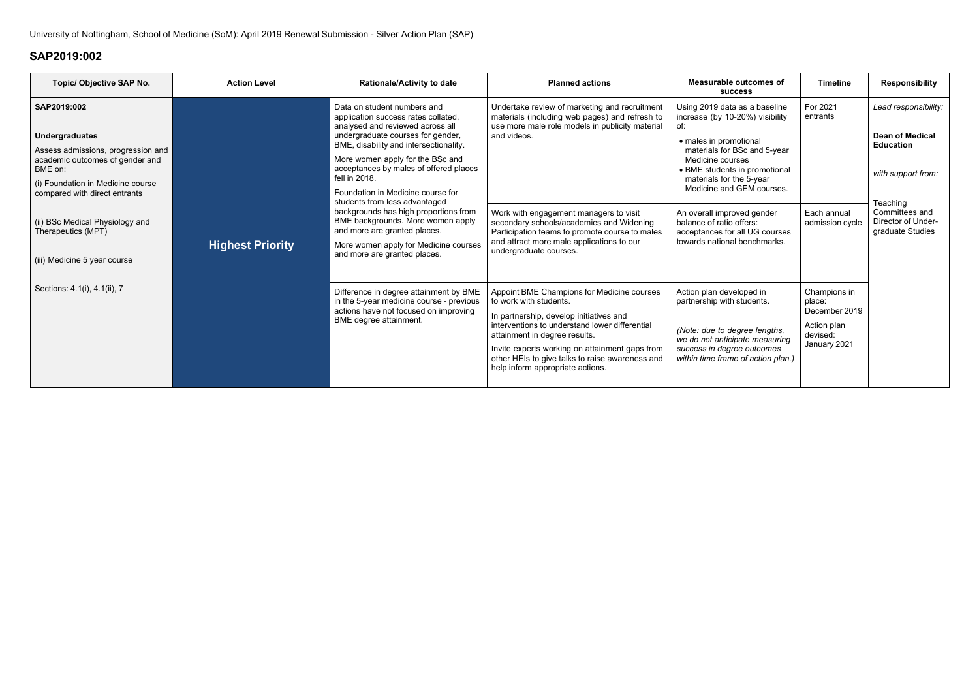| Topic/ Objective SAP No.                                                                                                                                                                       | <b>Action Level</b>     | <b>Rationale/Activity to date</b>                                                                                                                                                                                                                                                                                         | <b>Planned actions</b>                                                                                                                                                                                                                                                                                                                      | Measurable outcomes of<br><b>SUCCESS</b>                                                                                                                                                                                                 | <b>Timeline</b>                                                                    | <b>Responsibility</b>                                                                                                                                            |
|------------------------------------------------------------------------------------------------------------------------------------------------------------------------------------------------|-------------------------|---------------------------------------------------------------------------------------------------------------------------------------------------------------------------------------------------------------------------------------------------------------------------------------------------------------------------|---------------------------------------------------------------------------------------------------------------------------------------------------------------------------------------------------------------------------------------------------------------------------------------------------------------------------------------------|------------------------------------------------------------------------------------------------------------------------------------------------------------------------------------------------------------------------------------------|------------------------------------------------------------------------------------|------------------------------------------------------------------------------------------------------------------------------------------------------------------|
| SAP2019:002<br><b>Undergraduates</b><br>Assess admissions, progression and<br>academic outcomes of gender and<br>BME on:<br>(i) Foundation in Medicine course<br>compared with direct entrants | <b>Highest Priority</b> | Data on student numbers and<br>application success rates collated,<br>analysed and reviewed across all<br>undergraduate courses for gender,<br>BME, disability and intersectionality.<br>More women apply for the BSc and<br>acceptances by males of offered places<br>fell in 2018.<br>Foundation in Medicine course for | Undertake review of marketing and recruitment<br>materials (including web pages) and refresh to<br>use more male role models in publicity material<br>and videos.                                                                                                                                                                           | Using 2019 data as a baseline<br>increase (by 10-20%) visibility<br>• males in promotional<br>materials for BSc and 5-year<br>Medicine courses<br>• BME students in promotional<br>materials for the 5-year<br>Medicine and GEM courses. | For 2021<br>entrants                                                               | Lead responsibility:<br><b>Dean of Medical</b><br><b>Education</b><br>with support from:<br>Teaching<br>Committees and<br>Director of Under-<br>graduate Studies |
| (ii) BSc Medical Physiology and<br>Therapeutics (MPT)<br>(iii) Medicine 5 year course                                                                                                          |                         | students from less advantaged<br>backgrounds has high proportions from<br>BME backgrounds. More women apply<br>and more are granted places.<br>More women apply for Medicine courses<br>and more are granted places.                                                                                                      | Work with engagement managers to visit<br>secondary schools/academies and Widening<br>Participation teams to promote course to males<br>and attract more male applications to our<br>undergraduate courses.                                                                                                                                 | An overall improved gender<br>balance of ratio offers:<br>acceptances for all UG courses<br>towards national benchmarks.                                                                                                                 | Each annual<br>admission cycle                                                     |                                                                                                                                                                  |
| Sections: 4.1(i), 4.1(ii), 7                                                                                                                                                                   |                         | Difference in degree attainment by BME<br>in the 5-year medicine course - previous<br>actions have not focused on improving<br>BME degree attainment.                                                                                                                                                                     | Appoint BME Champions for Medicine courses<br>to work with students.<br>In partnership, develop initiatives and<br>interventions to understand lower differential<br>attainment in degree results.<br>Invite experts working on attainment gaps from<br>other HEIs to give talks to raise awareness and<br>help inform appropriate actions. | Action plan developed in<br>partnership with students.<br>(Note: due to degree lengths,<br>we do not anticipate measuring<br>success in degree outcomes<br>within time frame of action plan.)                                            | Champions in<br>place:<br>December 2019<br>Action plan<br>devised:<br>January 2021 |                                                                                                                                                                  |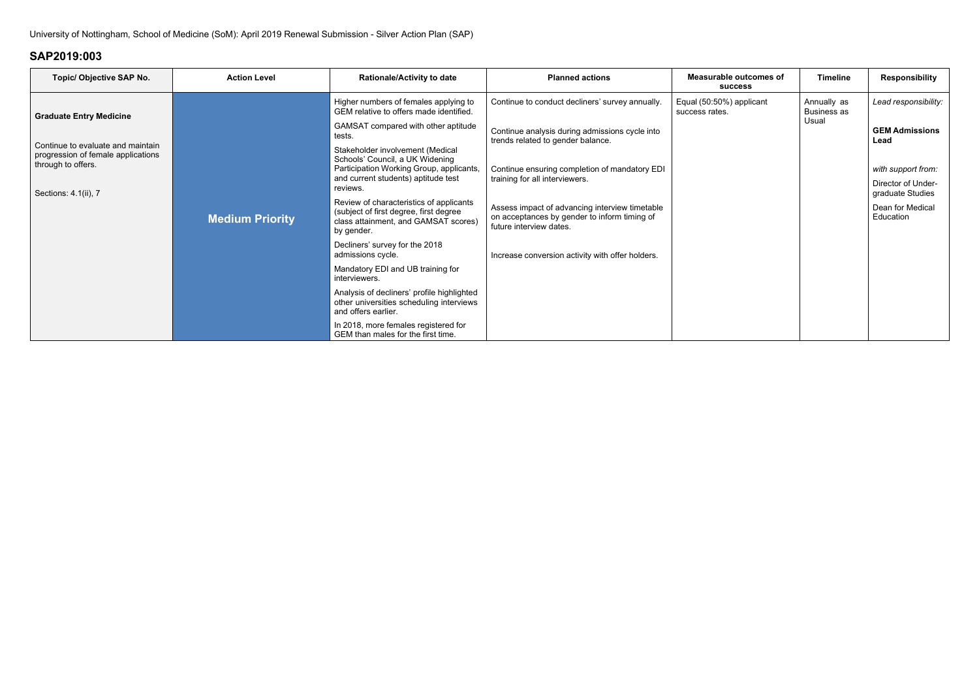| <b>Topic/ Objective SAP No.</b>                                                               | <b>Action Level</b>    | <b>Rationale/Activity to date</b>                                                                                                       | <b>Planned actions</b>                                                                                                    | <b>Measurable outcomes of</b><br><b>SUCCESS</b> | <b>Timeline</b>                   | <b>Responsibility</b>                  |
|-----------------------------------------------------------------------------------------------|------------------------|-----------------------------------------------------------------------------------------------------------------------------------------|---------------------------------------------------------------------------------------------------------------------------|-------------------------------------------------|-----------------------------------|----------------------------------------|
| <b>Graduate Entry Medicine</b>                                                                |                        | Higher numbers of females applying to<br>GEM relative to offers made identified.                                                        | Continue to conduct decliners' survey annually.                                                                           | Equal (50:50%) applicant<br>success rates.      | Annually as<br><b>Business as</b> | Lead responsibility:                   |
|                                                                                               |                        | GAMSAT compared with other aptitude<br>Continue analysis during admissions cycle into<br>tests.<br>trends related to gender balance.    |                                                                                                                           | Usual                                           | <b>GEM Admissions</b><br>Lead     |                                        |
| Continue to evaluate and maintain<br>progression of female applications<br>through to offers. |                        | Stakeholder involvement (Medical<br>Schools' Council, a UK Widening<br>Participation Working Group, applicants,                         | Continue ensuring completion of mandatory EDI                                                                             |                                                 |                                   | with support from:                     |
| Sections: 4.1(ii), 7                                                                          |                        | and current students) aptitude test<br>reviews.                                                                                         | training for all interviewers.                                                                                            |                                                 |                                   | Director of Under-<br>graduate Studies |
|                                                                                               | <b>Medium Priority</b> | Review of characteristics of applicants<br>(subject of first degree, first degree<br>class attainment, and GAMSAT scores)<br>by gender. | Assess impact of advancing interview timetable<br>on acceptances by gender to inform timing of<br>future interview dates. |                                                 |                                   | Dean for Medical<br>Education          |
|                                                                                               |                        | Decliners' survey for the 2018<br>admissions cycle.                                                                                     | Increase conversion activity with offer holders.                                                                          |                                                 |                                   |                                        |
|                                                                                               |                        | Mandatory EDI and UB training for<br>interviewers.                                                                                      |                                                                                                                           |                                                 |                                   |                                        |
|                                                                                               |                        | Analysis of decliners' profile highlighted<br>other universities scheduling interviews<br>and offers earlier.                           |                                                                                                                           |                                                 |                                   |                                        |
|                                                                                               |                        | In 2018, more females registered for<br>GEM than males for the first time.                                                              |                                                                                                                           |                                                 |                                   |                                        |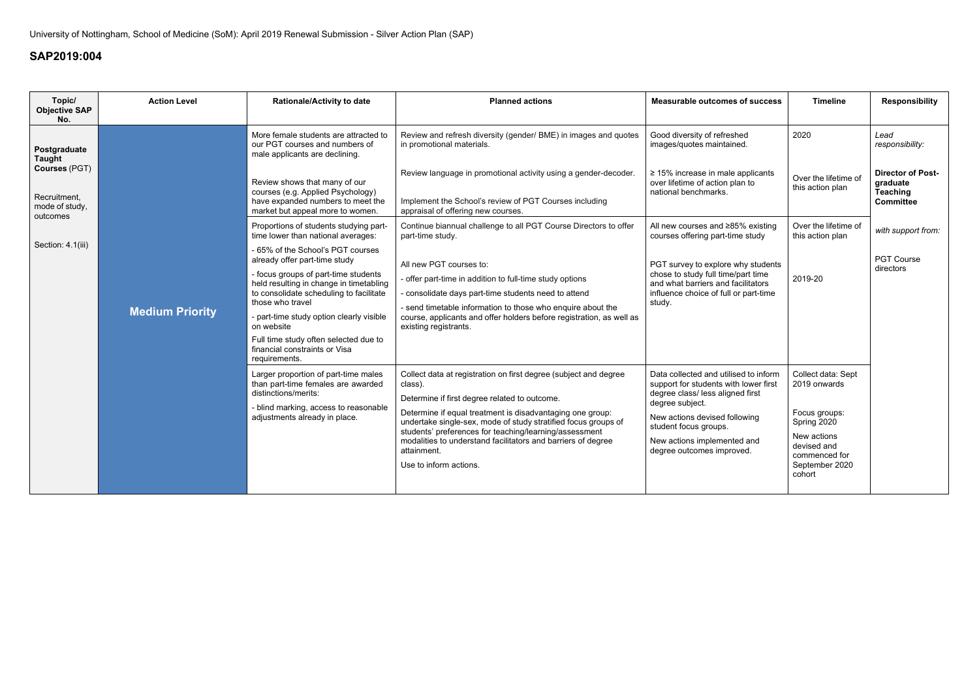| Topic/<br><b>Objective SAP</b>                                                                                    | <b>Action Level</b>    | <b>Rationale/Activity to date</b>                                                                                                                                                                                                                                                                                                                                                                                                                                                                                                                                                                                                                                                                                                                                                                   | <b>Planned actions</b>                                                                                                                                                                                                                                                                                                                                                                                                                                                                                                                                                                                                                                                                                                                                | <b>Measurable outcomes of success</b>                                                                                                                                                                                                                                                                                                                                                                                                                                                         | <b>Timeline</b>                                                                                                                               | <b>Responsibility</b>                                                                                                                                          |
|-------------------------------------------------------------------------------------------------------------------|------------------------|-----------------------------------------------------------------------------------------------------------------------------------------------------------------------------------------------------------------------------------------------------------------------------------------------------------------------------------------------------------------------------------------------------------------------------------------------------------------------------------------------------------------------------------------------------------------------------------------------------------------------------------------------------------------------------------------------------------------------------------------------------------------------------------------------------|-------------------------------------------------------------------------------------------------------------------------------------------------------------------------------------------------------------------------------------------------------------------------------------------------------------------------------------------------------------------------------------------------------------------------------------------------------------------------------------------------------------------------------------------------------------------------------------------------------------------------------------------------------------------------------------------------------------------------------------------------------|-----------------------------------------------------------------------------------------------------------------------------------------------------------------------------------------------------------------------------------------------------------------------------------------------------------------------------------------------------------------------------------------------------------------------------------------------------------------------------------------------|-----------------------------------------------------------------------------------------------------------------------------------------------|----------------------------------------------------------------------------------------------------------------------------------------------------------------|
| No.<br>Postgraduate<br>Taught<br>Courses (PGT)<br>Recruitment,<br>mode of study,<br>outcomes<br>Section: 4.1(iii) | <b>Medium Priority</b> | More female students are attracted to<br>our PGT courses and numbers of<br>male applicants are declining.<br>Review shows that many of our<br>courses (e.g. Applied Psychology)<br>have expanded numbers to meet the<br>market but appeal more to women.<br>Proportions of students studying part-<br>time lower than national averages:<br>- 65% of the School's PGT courses<br>already offer part-time study<br>- focus groups of part-time students<br>held resulting in change in timetabling<br>to consolidate scheduling to facilitate<br>those who travel<br>- part-time study option clearly visible<br>on website<br>Full time study often selected due to<br>financial constraints or Visa<br>requirements.<br>Larger proportion of part-time males<br>than part-time females are awarded | Review and refresh diversity (gender/ BME) in images and quotes<br>in promotional materials.<br>Review language in promotional activity using a gender-decoder.<br>Implement the School's review of PGT Courses including<br>appraisal of offering new courses.<br>Continue biannual challenge to all PGT Course Directors to offer<br>part-time study.<br>All new PGT courses to:<br>- offer part-time in addition to full-time study options<br>- consolidate days part-time students need to attend<br>- send timetable information to those who enquire about the<br>course, applicants and offer holders before registration, as well as<br>existing registrants.<br>Collect data at registration on first degree (subject and degree<br>class). | Good diversity of refreshed<br>images/quotes maintained.<br>$\geq$ 15% increase in male applicants<br>over lifetime of action plan to<br>national benchmarks.<br>All new courses and ≥85% existing<br>courses offering part-time study<br>PGT survey to explore why students<br>chose to study full time/part time<br>and what barriers and facilitators<br>influence choice of full or part-time<br>study.<br>Data collected and utilised to inform<br>support for students with lower first | 2020<br>Over the lifetime of<br>this action plan<br>Over the lifetime of<br>this action plan<br>2019-20<br>Collect data: Sept<br>2019 onwards | Lead<br>responsibility:<br><b>Director of Post-</b><br>graduate<br><b>Teaching</b><br><b>Committee</b><br>with support from:<br><b>PGT Course</b><br>directors |
|                                                                                                                   |                        | distinctions/merits:<br>- blind marking, access to reasonable<br>adjustments already in place.                                                                                                                                                                                                                                                                                                                                                                                                                                                                                                                                                                                                                                                                                                      | Determine if first degree related to outcome.<br>Determine if equal treatment is disadvantaging one group:<br>undertake single-sex, mode of study stratified focus groups of<br>students' preferences for teaching/learning/assessment<br>modalities to understand facilitators and barriers of degree<br>attainment.<br>Use to inform actions.                                                                                                                                                                                                                                                                                                                                                                                                       | degree class/ less aligned first<br>degree subject.<br>New actions devised following<br>student focus groups.<br>New actions implemented and<br>degree outcomes improved.                                                                                                                                                                                                                                                                                                                     | Focus groups:<br>Spring 2020<br>New actions<br>devised and<br>commenced for<br>September 2020<br>cohort                                       |                                                                                                                                                                |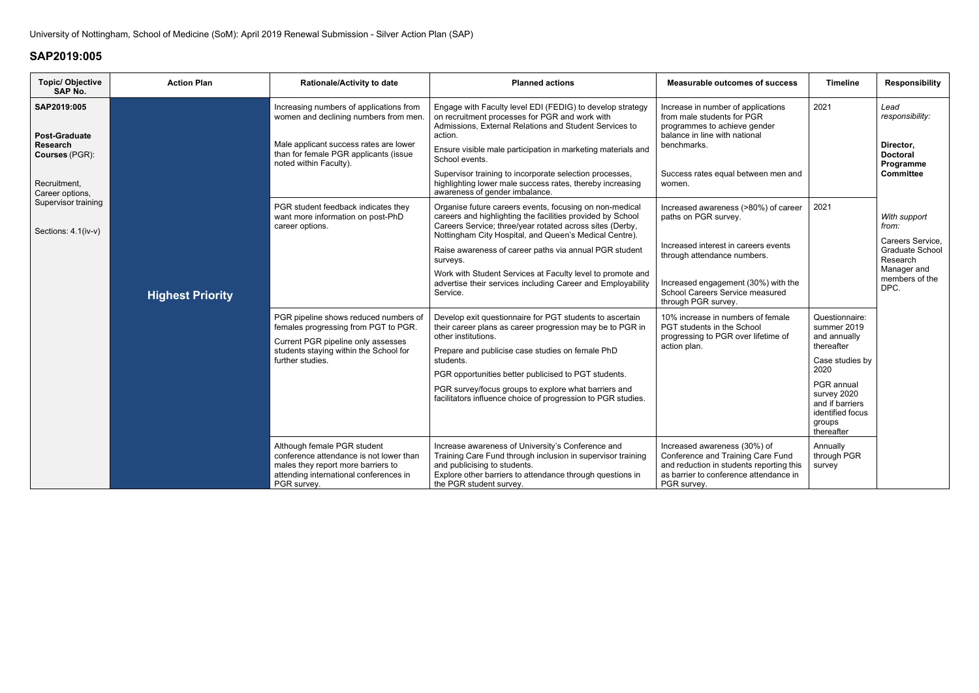| <b>Topic/ Objective</b><br><b>SAP No.</b>                         | <b>Action Plan</b>                                                                               | <b>Rationale/Activity to date</b>                                                                                                                                                             | <b>Planned actions</b>                                                                                                                                                                                                                                                                                                        | <b>Measurable outcomes of success</b>                                                                                                                                                   | <b>Timeline</b>                               | <b>Responsibility</b>                                                                    |
|-------------------------------------------------------------------|--------------------------------------------------------------------------------------------------|-----------------------------------------------------------------------------------------------------------------------------------------------------------------------------------------------|-------------------------------------------------------------------------------------------------------------------------------------------------------------------------------------------------------------------------------------------------------------------------------------------------------------------------------|-----------------------------------------------------------------------------------------------------------------------------------------------------------------------------------------|-----------------------------------------------|------------------------------------------------------------------------------------------|
| SAP2019:005<br><b>Post-Graduate</b><br>Research<br>Courses (PGR): |                                                                                                  | Increasing numbers of applications from<br>women and declining numbers from men.<br>Male applicant success rates are lower<br>than for female PGR applicants (issue<br>noted within Faculty). | Engage with Faculty level EDI (FEDIG) to develop strategy<br>on recruitment processes for PGR and work with<br>Admissions, External Relations and Student Services to<br>action.<br>Ensure visible male participation in marketing materials and<br>School events.<br>Supervisor training to incorporate selection processes, | Increase in number of applications<br>from male students for PGR<br>programmes to achieve gender<br>balance in line with national<br>benchmarks.<br>Success rates equal between men and | 2021                                          | Lead<br>responsibility:<br>Director,<br><b>Doctoral</b><br>Programme<br><b>Committee</b> |
| Recruitment,<br>Career options,                                   |                                                                                                  |                                                                                                                                                                                               | highlighting lower male success rates, thereby increasing<br>awareness of gender imbalance.                                                                                                                                                                                                                                   | women.                                                                                                                                                                                  |                                               |                                                                                          |
| Supervisor training<br>Sections: 4.1(iv-v)                        | PGR student feedback indicates they<br>want more information on post-PhD<br>career options.      |                                                                                                                                                                                               | Organise future careers events, focusing on non-medical<br>careers and highlighting the facilities provided by School<br>Careers Service; three/year rotated across sites (Derby,<br>Nottingham City Hospital, and Queen's Medical Centre).                                                                                   | Increased awareness (>80%) of career<br>paths on PGR survey.                                                                                                                            | 2021                                          | With support<br>from:<br>Careers Service,                                                |
|                                                                   |                                                                                                  | Raise awareness of career paths via annual PGR student<br>surveys.                                                                                                                            | Increased interest in careers events<br>through attendance numbers.                                                                                                                                                                                                                                                           |                                                                                                                                                                                         | Graduate School<br>Research                   |                                                                                          |
|                                                                   | <b>Highest Priority</b>                                                                          |                                                                                                                                                                                               | Work with Student Services at Faculty level to promote and<br>advertise their services including Career and Employability<br>Service.                                                                                                                                                                                         | Increased engagement (30%) with the<br>School Careers Service measured<br>through PGR survey.                                                                                           |                                               | Manager and<br>members of the<br>DPC.                                                    |
|                                                                   |                                                                                                  | PGR pipeline shows reduced numbers of<br>females progressing from PGT to PGR.                                                                                                                 | Develop exit questionnaire for PGT students to ascertain<br>their career plans as career progression may be to PGR in<br>other institutions.                                                                                                                                                                                  | 10% increase in numbers of female<br>PGT students in the School<br>progressing to PGR over lifetime of                                                                                  | Questionnaire:<br>summer 2019<br>and annually |                                                                                          |
|                                                                   | Current PGR pipeline only assesses<br>students staying within the School for<br>further studies. | action plan.<br>Prepare and publicise case studies on female PhD<br>students.                                                                                                                 | thereafter<br>Case studies by                                                                                                                                                                                                                                                                                                 |                                                                                                                                                                                         |                                               |                                                                                          |
|                                                                   |                                                                                                  | PGR opportunities better publicised to PGT students.                                                                                                                                          |                                                                                                                                                                                                                                                                                                                               | 2020                                                                                                                                                                                    |                                               |                                                                                          |
|                                                                   |                                                                                                  | PGR survey/focus groups to explore what barriers and<br>facilitators influence choice of progression to PGR studies.                                                                          |                                                                                                                                                                                                                                                                                                                               | PGR annual<br>survey 2020<br>and if barriers<br>identified focus<br>groups<br>thereafter                                                                                                |                                               |                                                                                          |
|                                                                   |                                                                                                  | Although female PGR student<br>conference attendance is not lower than<br>males they report more barriers to<br>attending international conferences in<br>PGR survey.                         | Increase awareness of University's Conference and<br>Training Care Fund through inclusion in supervisor training<br>and publicising to students.<br>Explore other barriers to attendance through questions in<br>the PGR student survey.                                                                                      | Increased awareness (30%) of<br>Conference and Training Care Fund<br>and reduction in students reporting this<br>as barrier to conference attendance in<br>PGR survey.                  | Annually<br>through PGR<br>survey             |                                                                                          |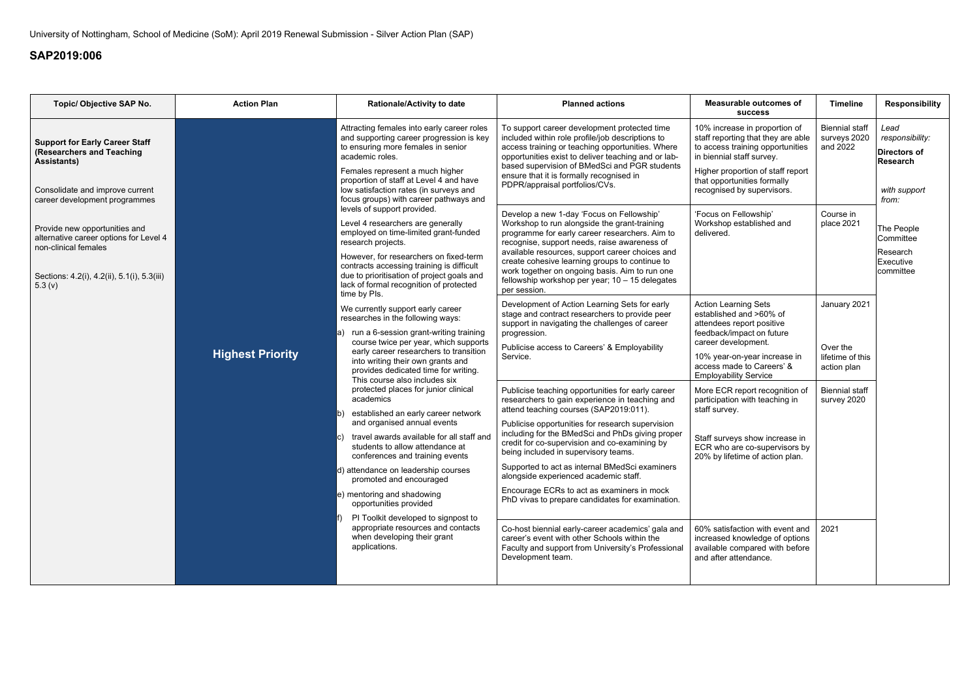| Topic/ Objective SAP No.                                                                                                                                     | <b>Action Plan</b>      | <b>Rationale/Activity to date</b>                                                                                                                                                                                                                                                                                                                                                                                                                                                                                                                                                                                                                                                                                                                                                                                                            | <b>Planned actions</b>                                                                                                                                                                                                                                                                                                                                                                                                                                                                                                                                                                                                                                                                                                                                                                                                                                                                                                                                       | <b>Measurable outcomes of</b><br><b>SUCCESS</b>                                                                                                                                                                                                                                                                                                                                                                                                                                                                                                                 | <b>Timeline</b>                                                                                             | <b>Responsibility</b>                                                                      |
|--------------------------------------------------------------------------------------------------------------------------------------------------------------|-------------------------|----------------------------------------------------------------------------------------------------------------------------------------------------------------------------------------------------------------------------------------------------------------------------------------------------------------------------------------------------------------------------------------------------------------------------------------------------------------------------------------------------------------------------------------------------------------------------------------------------------------------------------------------------------------------------------------------------------------------------------------------------------------------------------------------------------------------------------------------|--------------------------------------------------------------------------------------------------------------------------------------------------------------------------------------------------------------------------------------------------------------------------------------------------------------------------------------------------------------------------------------------------------------------------------------------------------------------------------------------------------------------------------------------------------------------------------------------------------------------------------------------------------------------------------------------------------------------------------------------------------------------------------------------------------------------------------------------------------------------------------------------------------------------------------------------------------------|-----------------------------------------------------------------------------------------------------------------------------------------------------------------------------------------------------------------------------------------------------------------------------------------------------------------------------------------------------------------------------------------------------------------------------------------------------------------------------------------------------------------------------------------------------------------|-------------------------------------------------------------------------------------------------------------|--------------------------------------------------------------------------------------------|
| <b>Support for Early Career Staff</b><br>(Researchers and Teaching<br><b>Assistants)</b><br>Consolidate and improve current<br>career development programmes |                         | Attracting females into early career roles<br>and supporting career progression is key<br>to ensuring more females in senior<br>academic roles.<br>Females represent a much higher<br>proportion of staff at Level 4 and have<br>low satisfaction rates (in surveys and<br>focus groups) with career pathways and                                                                                                                                                                                                                                                                                                                                                                                                                                                                                                                            | To support career development protected time<br>included within role profile/job descriptions to<br>access training or teaching opportunities. Where<br>opportunities exist to deliver teaching and or lab-<br>based supervision of BMedSci and PGR students<br>ensure that it is formally recognised in<br>PDPR/appraisal portfolios/CVs.                                                                                                                                                                                                                                                                                                                                                                                                                                                                                                                                                                                                                   | 10% increase in proportion of<br>staff reporting that they are able<br>to access training opportunities<br>in biennial staff survey.<br>Higher proportion of staff report<br>that opportunities formally<br>recognised by supervisors.                                                                                                                                                                                                                                                                                                                          | <b>Biennial staff</b><br>surveys 2020<br>and 2022                                                           | Lead<br>responsibility:<br><b>Directors of</b><br><b>Research</b><br>with support<br>from: |
| Provide new opportunities and<br>alternative career options for Level 4<br>non-clinical females<br>Sections: 4.2(i), 4.2(ii), 5.1(i), 5.3(iii)<br>5.3 (v)    |                         | levels of support provided.<br>Level 4 researchers are generally<br>employed on time-limited grant-funded<br>research projects.<br>However, for researchers on fixed-term<br>contracts accessing training is difficult<br>due to prioritisation of project goals and<br>lack of formal recognition of protected                                                                                                                                                                                                                                                                                                                                                                                                                                                                                                                              | Develop a new 1-day 'Focus on Fellowship'<br>Workshop to run alongside the grant-training<br>programme for early career researchers. Aim to<br>recognise, support needs, raise awareness of<br>available resources, support career choices and<br>create cohesive learning groups to continue to<br>work together on ongoing basis. Aim to run one<br>fellowship workshop per year; 10 - 15 delegates<br>per session.                                                                                                                                                                                                                                                                                                                                                                                                                                                                                                                                        | 'Focus on Fellowship'<br>Workshop established and<br>delivered.                                                                                                                                                                                                                                                                                                                                                                                                                                                                                                 | Course in<br>place 2021                                                                                     | The People<br>Committee<br>Research<br>Executive<br>committee                              |
|                                                                                                                                                              | <b>Highest Priority</b> | time by Pls.<br>We currently support early career<br>researches in the following ways:<br>run a 6-session grant-writing training<br>a)<br>course twice per year, which supports<br>early career researchers to transition<br>into writing their own grants and<br>provides dedicated time for writing.<br>This course also includes six<br>protected places for junior clinical<br>academics<br>established an early career network<br>and organised annual events<br>travel awards available for all staff and<br>students to allow attendance at<br>conferences and training events<br>d) attendance on leadership courses<br>promoted and encouraged<br>e) mentoring and shadowing<br>opportunities provided<br>PI Toolkit developed to signpost to<br>appropriate resources and contacts<br>when developing their grant<br>applications. | Development of Action Learning Sets for early<br>stage and contract researchers to provide peer<br>support in navigating the challenges of career<br>progression.<br>Publicise access to Careers' & Employability<br>Service.<br>Publicise teaching opportunities for early career<br>researchers to gain experience in teaching and<br>attend teaching courses (SAP2019:011).<br>Publicise opportunities for research supervision<br>including for the BMedSci and PhDs giving proper<br>credit for co-supervision and co-examining by<br>being included in supervisory teams.<br>Supported to act as internal BMedSci examiners<br>alongside experienced academic staff.<br>Encourage ECRs to act as examiners in mock<br>PhD vivas to prepare candidates for examination.<br>Co-host biennial early-career academics' gala and<br>career's event with other Schools within the<br>Faculty and support from University's Professional<br>Development team. | <b>Action Learning Sets</b><br>established and >60% of<br>attendees report positive<br>feedback/impact on future<br>career development.<br>10% year-on-year increase in<br>access made to Careers' &<br><b>Employability Service</b><br>More ECR report recognition of<br>participation with teaching in<br>staff survey.<br>Staff surveys show increase in<br>ECR who are co-supervisors by<br>20% by lifetime of action plan.<br>60% satisfaction with event and<br>increased knowledge of options<br>available compared with before<br>and after attendance. | January 2021<br>Over the<br>lifetime of this<br>action plan<br><b>Biennial staff</b><br>survey 2020<br>2021 |                                                                                            |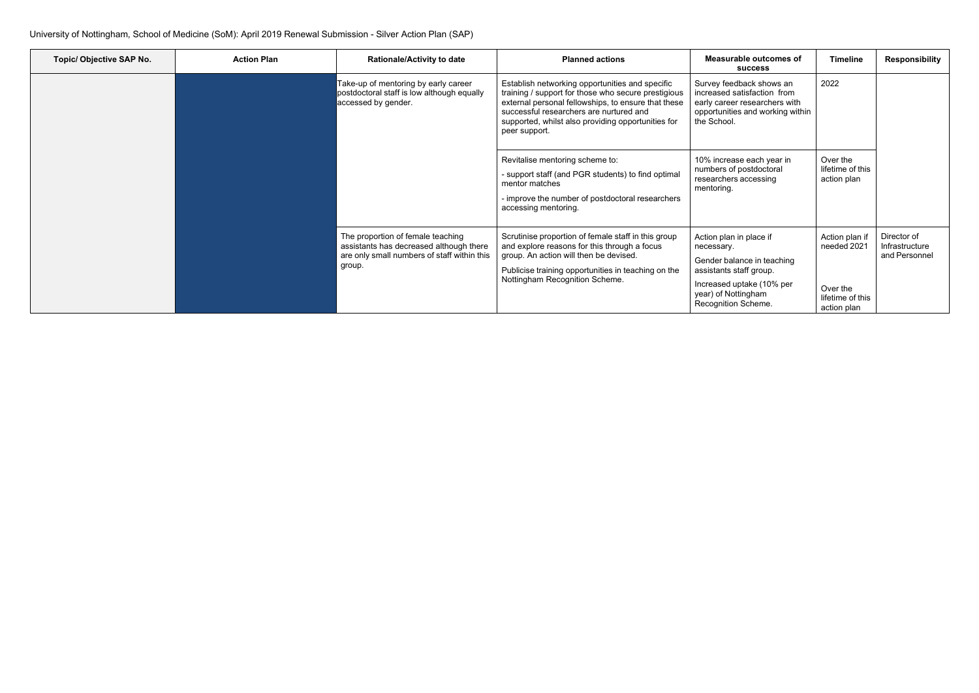| Topic/ Objective SAP No. | <b>Action Plan</b> | <b>Rationale/Activity to date</b>                                                                                                     | <b>Planned actions</b>                                                                                                                                                                                                                                                          | <b>Measurable outcomes of</b><br><b>SUCCESS</b>                                                                                                                           | <b>Timeline</b>                                                              | Responsibility                                 |
|--------------------------|--------------------|---------------------------------------------------------------------------------------------------------------------------------------|---------------------------------------------------------------------------------------------------------------------------------------------------------------------------------------------------------------------------------------------------------------------------------|---------------------------------------------------------------------------------------------------------------------------------------------------------------------------|------------------------------------------------------------------------------|------------------------------------------------|
|                          |                    | Take-up of mentoring by early career<br>postdoctoral staff is low although equally<br>accessed by gender.                             | Establish networking opportunities and specific<br>training / support for those who secure prestigious<br>external personal fellowships, to ensure that these<br>successful researchers are nurtured and<br>supported, whilst also providing opportunities for<br>peer support. | Survey feedback shows an<br>increased satisfaction from<br>early career researchers with<br>opportunities and working within<br>the School.                               | 2022                                                                         |                                                |
|                          |                    |                                                                                                                                       | Revitalise mentoring scheme to:<br>- support staff (and PGR students) to find optimal<br>mentor matches<br>- improve the number of postdoctoral researchers<br>accessing mentoring.                                                                                             | 10% increase each year in<br>numbers of postdoctoral<br>researchers accessing<br>mentoring.                                                                               | Over the<br>lifetime of this<br>action plan                                  |                                                |
|                          |                    | The proportion of female teaching<br>assistants has decreased although there<br>are only small numbers of staff within this<br>group. | Scrutinise proportion of female staff in this group<br>and explore reasons for this through a focus<br>group. An action will then be devised.<br>Publicise training opportunities in teaching on the<br>Nottingham Recognition Scheme.                                          | Action plan in place if<br>necessary.<br>Gender balance in teaching<br>assistants staff group.<br>Increased uptake (10% per<br>year) of Nottingham<br>Recognition Scheme. | Action plan if<br>needed 2021<br>Over the<br>lifetime of this<br>action plan | Director of<br>Infrastructure<br>and Personnel |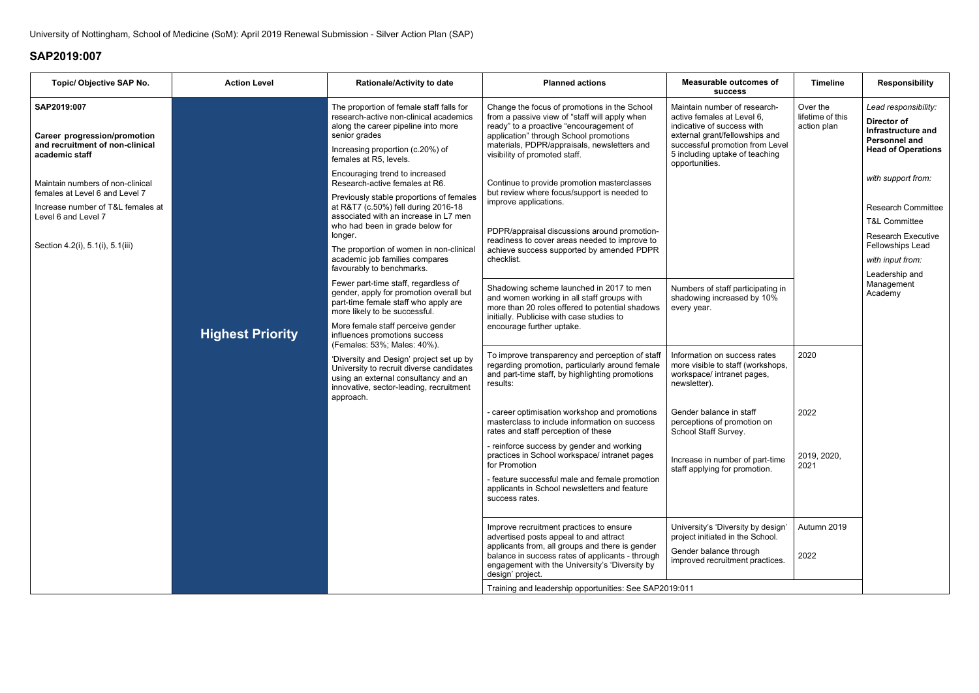| <b>Topic/ Objective SAP No.</b>                                                                                                                                    | <b>Action Level</b>     | <b>Rationale/Activity to date</b>                                                                                                                                                                                                                                                                                                                                                                                                                                                                                | <b>Planned actions</b>                                                                                                                                                                                                                                             | <b>Measurable outcomes of</b><br><b>SUCCESS</b>                                                                                                                                                                   | <b>Timeline</b>                             | <b>Responsibility</b>                                                                                                        |
|--------------------------------------------------------------------------------------------------------------------------------------------------------------------|-------------------------|------------------------------------------------------------------------------------------------------------------------------------------------------------------------------------------------------------------------------------------------------------------------------------------------------------------------------------------------------------------------------------------------------------------------------------------------------------------------------------------------------------------|--------------------------------------------------------------------------------------------------------------------------------------------------------------------------------------------------------------------------------------------------------------------|-------------------------------------------------------------------------------------------------------------------------------------------------------------------------------------------------------------------|---------------------------------------------|------------------------------------------------------------------------------------------------------------------------------|
| SAP2019:007<br>Career progression/promotion<br>and recruitment of non-clinical<br>academic staff                                                                   |                         | The proportion of female staff falls for<br>research-active non-clinical academics<br>along the career pipeline into more<br>senior grades<br>Increasing proportion (c.20%) of<br>females at R5, levels.                                                                                                                                                                                                                                                                                                         | Change the focus of promotions in the School<br>from a passive view of "staff will apply when<br>ready" to a proactive "encouragement of<br>application" through School promotions<br>materials, PDPR/appraisals, newsletters and<br>visibility of promoted staff. | Maintain number of research-<br>active females at Level 6,<br>indicative of success with<br>external grant/fellowships and<br>successful promotion from Level<br>5 including uptake of teaching<br>opportunities. | Over the<br>lifetime of this<br>action plan | Lead responsibility:<br>Director of<br>Infrastructure and<br><b>Personnel and</b><br><b>Head of Operations</b>               |
| Maintain numbers of non-clinical<br>females at Level 6 and Level 7<br>Increase number of T&L females at<br>Level 6 and Level 7<br>Section 4.2(i), 5.1(i), 5.1(iii) |                         | Encouraging trend to increased<br>Research-active females at R6.<br>Previously stable proportions of females<br>at R&T7 (c.50%) fell during 2016-18<br>associated with an increase in L7 men<br>who had been in grade below for<br>longer.<br>The proportion of women in non-clinical<br>academic job families compares<br>favourably to benchmarks.<br>Fewer part-time staff, regardless of<br>gender, apply for promotion overall but<br>part-time female staff who apply are<br>more likely to be successful. | Continue to provide promotion masterclasses<br>but review where focus/support is needed to<br>improve applications.<br>PDPR/appraisal discussions around promotion-<br>readiness to cover areas needed to improve to                                               |                                                                                                                                                                                                                   |                                             | with support from:<br><b>Research Committee</b><br><b>T&amp;L Committee</b><br><b>Research Executive</b><br>Fellowships Lead |
|                                                                                                                                                                    |                         |                                                                                                                                                                                                                                                                                                                                                                                                                                                                                                                  | achieve success supported by amended PDPR<br>checklist.                                                                                                                                                                                                            |                                                                                                                                                                                                                   |                                             | with input from:<br>Leadership and                                                                                           |
|                                                                                                                                                                    |                         |                                                                                                                                                                                                                                                                                                                                                                                                                                                                                                                  | Shadowing scheme launched in 2017 to men<br>and women working in all staff groups with<br>more than 20 roles offered to potential shadows<br>initially. Publicise with case studies to<br>encourage further uptake.                                                | Numbers of staff participating in<br>shadowing increased by 10%<br>every year.                                                                                                                                    |                                             | Management<br>Academy                                                                                                        |
|                                                                                                                                                                    | <b>Highest Priority</b> | More female staff perceive gender<br>influences promotions success<br>(Females: 53%; Males: 40%).                                                                                                                                                                                                                                                                                                                                                                                                                |                                                                                                                                                                                                                                                                    |                                                                                                                                                                                                                   |                                             |                                                                                                                              |
|                                                                                                                                                                    |                         | 'Diversity and Design' project set up by<br>University to recruit diverse candidates<br>using an external consultancy and an<br>innovative, sector-leading, recruitment<br>approach.                                                                                                                                                                                                                                                                                                                             | To improve transparency and perception of staff<br>regarding promotion, particularly around female<br>and part-time staff, by highlighting promotions<br>results:                                                                                                  | Information on success rates<br>more visible to staff (workshops,<br>workspace/ intranet pages,<br>newsletter).                                                                                                   | 2020                                        |                                                                                                                              |
|                                                                                                                                                                    |                         |                                                                                                                                                                                                                                                                                                                                                                                                                                                                                                                  | - career optimisation workshop and promotions<br>masterclass to include information on success<br>rates and staff perception of these                                                                                                                              | Gender balance in staff<br>perceptions of promotion on<br>School Staff Survey.                                                                                                                                    | 2022                                        |                                                                                                                              |
|                                                                                                                                                                    |                         |                                                                                                                                                                                                                                                                                                                                                                                                                                                                                                                  | - reinforce success by gender and working<br>practices in School workspace/ intranet pages<br>for Promotion                                                                                                                                                        | Increase in number of part-time<br>staff applying for promotion.                                                                                                                                                  | 2019, 2020,<br>2021                         |                                                                                                                              |
|                                                                                                                                                                    |                         |                                                                                                                                                                                                                                                                                                                                                                                                                                                                                                                  | - feature successful male and female promotion<br>applicants in School newsletters and feature<br>success rates.                                                                                                                                                   |                                                                                                                                                                                                                   |                                             |                                                                                                                              |
|                                                                                                                                                                    |                         |                                                                                                                                                                                                                                                                                                                                                                                                                                                                                                                  | Improve recruitment practices to ensure<br>advertised posts appeal to and attract                                                                                                                                                                                  | University's 'Diversity by design'<br>project initiated in the School.                                                                                                                                            | Autumn 2019                                 |                                                                                                                              |
|                                                                                                                                                                    |                         | applicants from, all groups and there is gender<br>balance in success rates of applicants - through<br>engagement with the University's 'Diversity by<br>design' project.                                                                                                                                                                                                                                                                                                                                        | Gender balance through<br>improved recruitment practices.                                                                                                                                                                                                          | 2022                                                                                                                                                                                                              |                                             |                                                                                                                              |
|                                                                                                                                                                    |                         |                                                                                                                                                                                                                                                                                                                                                                                                                                                                                                                  | Training and leadership opportunities: See SAP2019:011                                                                                                                                                                                                             |                                                                                                                                                                                                                   |                                             |                                                                                                                              |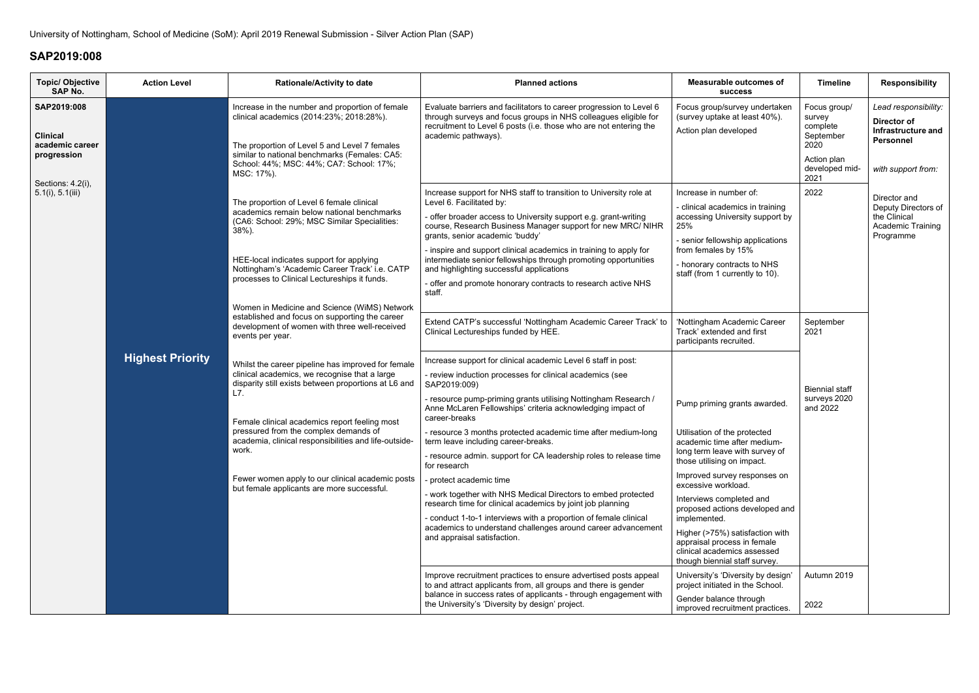| <b>Topic/ Objective</b><br><b>SAP No.</b>                        | <b>Action Level</b>                                                                                                                                                                                                                                        | <b>Rationale/Activity to date</b>                                                                                                                                                                                                                                                                                                                                                                                                | <b>Planned actions</b>                                                                                                                                                                                                                                                                                                                                                                                                                                                                                                             | <b>Measurable outcomes of</b><br><b>SUCCESS</b>                                                                                                                                                                                                            | <b>Timeline</b>                                                                                  | <b>Responsibility</b>                                                                               |
|------------------------------------------------------------------|------------------------------------------------------------------------------------------------------------------------------------------------------------------------------------------------------------------------------------------------------------|----------------------------------------------------------------------------------------------------------------------------------------------------------------------------------------------------------------------------------------------------------------------------------------------------------------------------------------------------------------------------------------------------------------------------------|------------------------------------------------------------------------------------------------------------------------------------------------------------------------------------------------------------------------------------------------------------------------------------------------------------------------------------------------------------------------------------------------------------------------------------------------------------------------------------------------------------------------------------|------------------------------------------------------------------------------------------------------------------------------------------------------------------------------------------------------------------------------------------------------------|--------------------------------------------------------------------------------------------------|-----------------------------------------------------------------------------------------------------|
| SAP2019:008<br><b>Clinical</b><br>academic career<br>progression |                                                                                                                                                                                                                                                            | Increase in the number and proportion of female<br>clinical academics (2014:23%; 2018:28%).<br>The proportion of Level 5 and Level 7 females<br>similar to national benchmarks (Females: CA5:<br>School: 44%; MSC: 44%; CA7: School: 17%;<br>MSC: 17%).                                                                                                                                                                          | Evaluate barriers and facilitators to career progression to Level 6<br>through surveys and focus groups in NHS colleagues eligible for<br>recruitment to Level 6 posts (i.e. those who are not entering the<br>academic pathways).                                                                                                                                                                                                                                                                                                 | Focus group/survey undertaken<br>(survey uptake at least 40%).<br>Action plan developed                                                                                                                                                                    | Focus group/<br>survey<br>complete<br>September<br>2020<br>Action plan<br>developed mid-<br>2021 | Lead responsibility:<br>Director of<br>Infrastructure and<br><b>Personnel</b><br>with support from: |
| Sections: 4.2(i),<br>5.1(i), 5.1(iii)                            |                                                                                                                                                                                                                                                            | The proportion of Level 6 female clinical<br>academics remain below national benchmarks<br>(CA6: School: 29%; MSC Similar Specialities:<br>$38%$ ).<br>HEE-local indicates support for applying<br>Nottingham's 'Academic Career Track' i.e. CATP<br>processes to Clinical Lectureships it funds.<br>Women in Medicine and Science (WiMS) Network                                                                                | Increase support for NHS staff to transition to University role at<br>Level 6. Facilitated by:<br>- offer broader access to University support e.g. grant-writing<br>course, Research Business Manager support for new MRC/ NIHR<br>grants, senior academic 'buddy'<br>- inspire and support clinical academics in training to apply for<br>intermediate senior fellowships through promoting opportunities<br>and highlighting successful applications<br>- offer and promote honorary contracts to research active NHS<br>staff. | Increase in number of:<br>- clinical academics in training<br>accessing University support by<br>25%<br>- senior fellowship applications<br>from females by 15%<br>- honorary contracts to NHS<br>staff (from 1 currently to 10).                          | 2022                                                                                             | Director and<br>Deputy Directors of<br>the Clinical<br>Academic Training<br>Programme               |
|                                                                  | <b>Highest Priority</b>                                                                                                                                                                                                                                    | established and focus on supporting the career<br>development of women with three well-received<br>events per year.<br>Whilst the career pipeline has improved for female<br>clinical academics, we recognise that a large<br>disparity still exists between proportions at L6 and<br>L7.                                                                                                                                        | Extend CATP's successful 'Nottingham Academic Career Track' to<br>Clinical Lectureships funded by HEE.<br>Increase support for clinical academic Level 6 staff in post:<br>- review induction processes for clinical academics (see<br>SAP2019:009)<br>- resource pump-priming grants utilising Nottingham Research /                                                                                                                                                                                                              | 'Nottingham Academic Career<br>Track' extended and first<br>participants recruited.                                                                                                                                                                        | September<br>2021<br><b>Biennial staff</b><br>surveys 2020                                       |                                                                                                     |
|                                                                  | Female clinical academics report feeling most<br>pressured from the complex demands of<br>academia, clinical responsibilities and life-outside-<br>work.<br>Fewer women apply to our clinical academic posts<br>but female applicants are more successful. | Anne McLaren Fellowships' criteria acknowledging impact of<br>career-breaks<br>- resource 3 months protected academic time after medium-long<br>term leave including career-breaks.<br>- resource admin. support for CA leadership roles to release time<br>for research<br>protect academic time<br>- work together with NHS Medical Directors to embed protected<br>research time for clinical academics by joint job planning | Pump priming grants awarded.<br>Utilisation of the protected<br>academic time after medium-<br>long term leave with survey of<br>those utilising on impact.<br>Improved survey responses on<br>excessive workload.<br>Interviews completed and                                                                                                                                                                                                                                                                                     | and 2022                                                                                                                                                                                                                                                   |                                                                                                  |                                                                                                     |
|                                                                  |                                                                                                                                                                                                                                                            |                                                                                                                                                                                                                                                                                                                                                                                                                                  | - conduct 1-to-1 interviews with a proportion of female clinical<br>academics to understand challenges around career advancement<br>and appraisal satisfaction.<br>Improve recruitment practices to ensure advertised posts appeal<br>to and attract applicants from, all groups and there is gender                                                                                                                                                                                                                               | proposed actions developed and<br>implemented.<br>Higher (>75%) satisfaction with<br>appraisal process in female<br>clinical academics assessed<br>though biennial staff survey.<br>University's 'Diversity by design'<br>project initiated in the School. | Autumn 2019                                                                                      |                                                                                                     |
|                                                                  |                                                                                                                                                                                                                                                            |                                                                                                                                                                                                                                                                                                                                                                                                                                  | balance in success rates of applicants - through engagement with<br>the University's 'Diversity by design' project.                                                                                                                                                                                                                                                                                                                                                                                                                | Gender balance through<br>improved recruitment practices.                                                                                                                                                                                                  | 2022                                                                                             |                                                                                                     |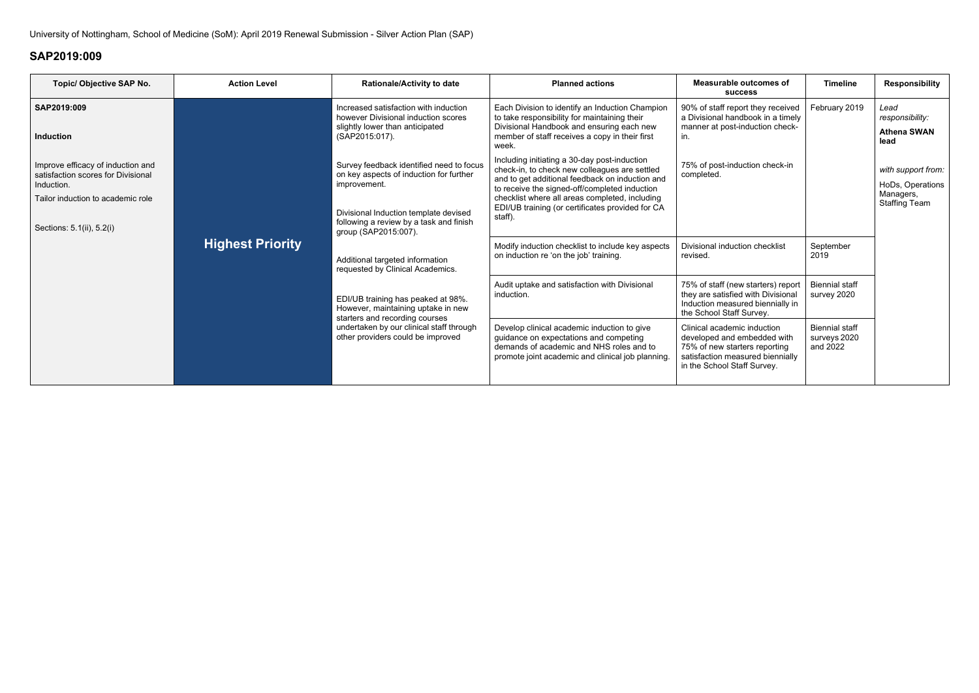| Topic/ Objective SAP No.                                                                                                                                | <b>Action Level</b>                                                                                        | <b>Rationale/Activity to date</b>                                                                                                 | <b>Planned actions</b>                                                                                                                                                                                          | <b>Measurable outcomes of</b><br><b>SUCCESS</b>                                                                                                                                                                                                                                                                    | <b>Timeline</b>                                   | <b>Responsibility</b>                                 |                                                                             |
|---------------------------------------------------------------------------------------------------------------------------------------------------------|------------------------------------------------------------------------------------------------------------|-----------------------------------------------------------------------------------------------------------------------------------|-----------------------------------------------------------------------------------------------------------------------------------------------------------------------------------------------------------------|--------------------------------------------------------------------------------------------------------------------------------------------------------------------------------------------------------------------------------------------------------------------------------------------------------------------|---------------------------------------------------|-------------------------------------------------------|-----------------------------------------------------------------------------|
| SAP2019:009<br><b>Induction</b>                                                                                                                         |                                                                                                            | Increased satisfaction with induction<br>however Divisional induction scores<br>slightly lower than anticipated<br>(SAP2015:017). | Each Division to identify an Induction Champion<br>to take responsibility for maintaining their<br>Divisional Handbook and ensuring each new<br>member of staff receives a copy in their first<br>week.         | 90% of staff report they received<br>a Divisional handbook in a timely<br>manner at post-induction check-                                                                                                                                                                                                          | February 2019                                     | Lead<br>responsibility:<br><b>Athena SWAN</b><br>lead |                                                                             |
| Improve efficacy of induction and<br>satisfaction scores for Divisional<br>Induction.<br>Tailor induction to academic role<br>Sections: 5.1(ii), 5.2(i) | <b>Highest Priority</b>                                                                                    |                                                                                                                                   | Survey feedback identified need to focus<br>on key aspects of induction for further<br>improvement.<br>Divisional Induction template devised<br>following a review by a task and finish<br>group (SAP2015:007). | Including initiating a 30-day post-induction<br>check-in, to check new colleagues are settled<br>and to get additional feedback on induction and<br>to receive the signed-off/completed induction<br>checklist where all areas completed, including<br>EDI/UB training (or certificates provided for CA<br>staff). | 75% of post-induction check-in<br>completed.      |                                                       | with support from:<br>HoDs, Operations<br>Managers,<br><b>Staffing Team</b> |
|                                                                                                                                                         |                                                                                                            | Additional targeted information<br>requested by Clinical Academics.                                                               | Modify induction checklist to include key aspects<br>on induction re 'on the job' training.                                                                                                                     | Divisional induction checklist<br>revised.                                                                                                                                                                                                                                                                         | September<br>2019                                 |                                                       |                                                                             |
|                                                                                                                                                         | EDI/UB training has peaked at 98%.<br>However, maintaining uptake in new<br>starters and recording courses | Audit uptake and satisfaction with Divisional<br>induction.                                                                       | 75% of staff (new starters) report<br>they are satisfied with Divisional<br>Induction measured biennially in<br>the School Staff Survey.                                                                        | <b>Biennial staff</b><br>survey 2020                                                                                                                                                                                                                                                                               |                                                   |                                                       |                                                                             |
|                                                                                                                                                         |                                                                                                            | undertaken by our clinical staff through<br>other providers could be improved                                                     | Develop clinical academic induction to give<br>guidance on expectations and competing<br>demands of academic and NHS roles and to<br>promote joint academic and clinical job planning.                          | Clinical academic induction<br>developed and embedded with<br>75% of new starters reporting<br>satisfaction measured biennially<br>in the School Staff Survey.                                                                                                                                                     | <b>Biennial staff</b><br>surveys 2020<br>and 2022 |                                                       |                                                                             |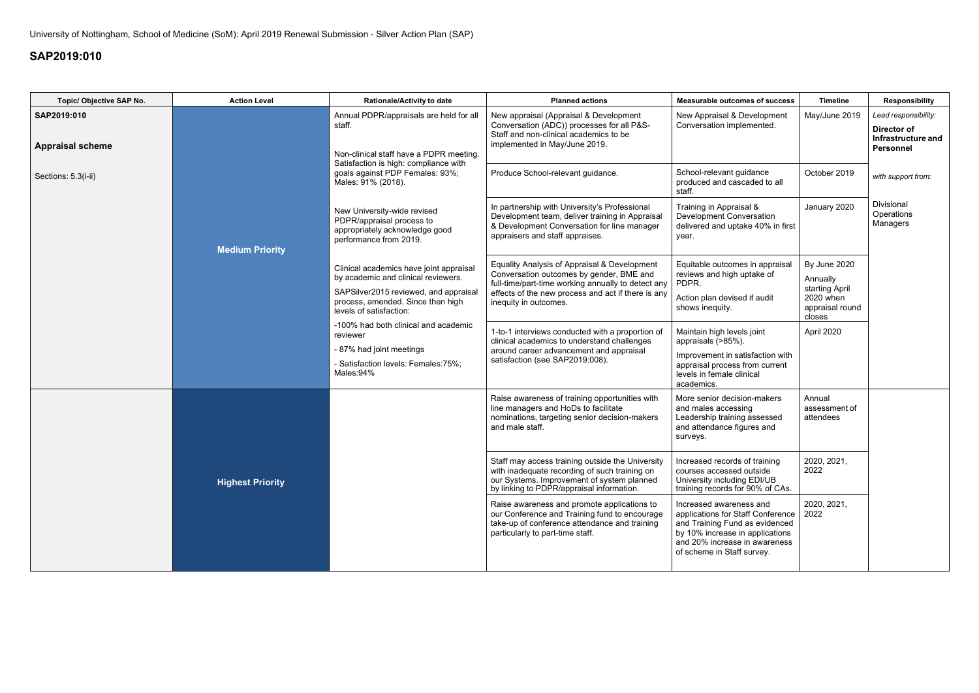| Topic/ Objective SAP No.               | <b>Action Level</b>    | <b>Rationale/Activity to date</b>                                                                                                                                                       | <b>Planned actions</b>                                                                                                                                                                                                        | <b>Measurable outcomes of success</b>                                                                                        | <b>Timeline</b>                                                            | <b>Responsibility</b>                                                         |
|----------------------------------------|------------------------|-----------------------------------------------------------------------------------------------------------------------------------------------------------------------------------------|-------------------------------------------------------------------------------------------------------------------------------------------------------------------------------------------------------------------------------|------------------------------------------------------------------------------------------------------------------------------|----------------------------------------------------------------------------|-------------------------------------------------------------------------------|
| SAP2019:010<br><b>Appraisal scheme</b> |                        | Annual PDPR/appraisals are held for all<br>staff.<br>Non-clinical staff have a PDPR meeting.                                                                                            | New appraisal (Appraisal & Development<br>Conversation (ADC)) processes for all P&S-<br>Staff and non-clinical academics to be<br>implemented in May/June 2019.                                                               | New Appraisal & Development<br>Conversation implemented.                                                                     | May/June 2019                                                              | Lead responsibility:<br>Director of<br>Infrastructure and<br><b>Personnel</b> |
| Sections: 5.3(i-ii)                    |                        | Satisfaction is high: compliance with<br>goals against PDP Females: 93%;<br>Males: 91% (2018).                                                                                          | Produce School-relevant guidance.                                                                                                                                                                                             | School-relevant guidance<br>produced and cascaded to all<br>staff.                                                           | October 2019                                                               | with support from:                                                            |
|                                        | <b>Medium Priority</b> | New University-wide revised<br>PDPR/appraisal process to<br>appropriately acknowledge good<br>performance from 2019.                                                                    | In partnership with University's Professional<br>Development team, deliver training in Appraisal<br>& Development Conversation for line manager<br>appraisers and staff appraises.                                            | Training in Appraisal &<br><b>Development Conversation</b><br>delivered and uptake 40% in first<br>year.                     | January 2020                                                               | Divisional<br>Operations<br>Managers                                          |
|                                        |                        | Clinical academics have joint appraisal<br>by academic and clinical reviewers.<br>SAPSilver2015 reviewed, and appraisal<br>process, amended. Since then high<br>levels of satisfaction: | Equality Analysis of Appraisal & Development<br>Conversation outcomes by gender, BME and<br>full-time/part-time working annually to detect any<br>effects of the new process and act if there is any<br>inequity in outcomes. | Equitable outcomes in appraisal<br>reviews and high uptake of<br>PDPR.<br>Action plan devised if audit<br>shows inequity.    | By June 2020<br>Annually<br>starting April<br>2020 when<br>appraisal round |                                                                               |
|                                        |                        | -100% had both clinical and academic<br>reviewer                                                                                                                                        | 1-to-1 interviews conducted with a proportion of<br>clinical academics to understand challenges                                                                                                                               | Maintain high levels joint<br>appraisals (>85%).                                                                             | closes<br>April 2020                                                       |                                                                               |
|                                        |                        | - 87% had joint meetings<br>- Satisfaction levels: Females: 75%;<br>Males:94%                                                                                                           | around career advancement and appraisal<br>satisfaction (see SAP2019:008).                                                                                                                                                    | Improvement in satisfaction with<br>appraisal process from current<br>levels in female clinical<br>academics.                |                                                                            |                                                                               |
|                                        |                        |                                                                                                                                                                                         | Raise awareness of training opportunities with<br>line managers and HoDs to facilitate<br>nominations, targeting senior decision-makers<br>and male staff.                                                                    | More senior decision-makers<br>and males accessing<br>Leadership training assessed<br>and attendance figures and<br>surveys. | Annual<br>assessment of<br>attendees                                       |                                                                               |
| <b>Highest Priority</b>                |                        |                                                                                                                                                                                         | Staff may access training outside the University<br>with inadequate recording of such training on<br>our Systems. Improvement of system planned<br>by linking to PDPR/appraisal information.                                  | Increased records of training<br>courses accessed outside<br>University including EDI/UB<br>training records for 90% of CAs. | 2020, 2021,<br>2022                                                        |                                                                               |
|                                        |                        | Raise awareness and promote applications to<br>our Conference and Training fund to encourage<br>take-up of conference attendance and training<br>particularly to part-time staff.       | Increased awareness and<br>applications for Staff Conference<br>and Training Fund as evidenced<br>by 10% increase in applications<br>and 20% increase in awareness<br>of scheme in Staff survey.                              | 2020, 2021,<br>2022                                                                                                          |                                                                            |                                                                               |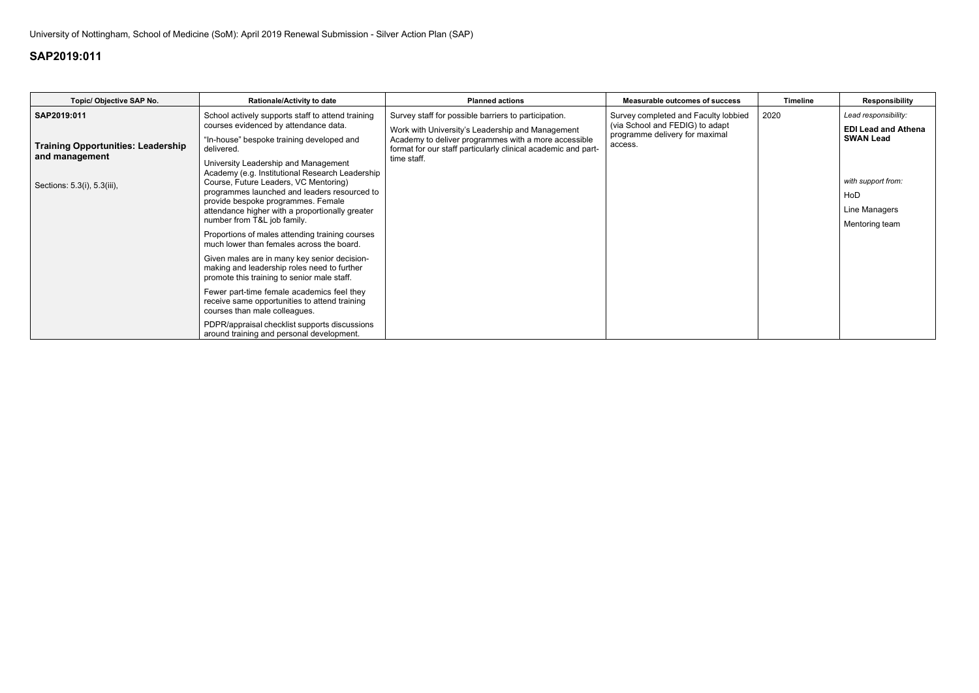| Topic/ Objective SAP No.                                                                                  | <b>Rationale/Activity to date</b>                                                                                                                                                                                                                                                                                                                                                                                                                                                                                                                                                                                                                                                                                                                                                                                                               | <b>Planned actions</b>                                                                                                                                                                                                                           | <b>Measurable outcomes of success</b>                                                                                | <b>Timeline</b> | <b>Responsibility</b>                                                                                                                  |
|-----------------------------------------------------------------------------------------------------------|-------------------------------------------------------------------------------------------------------------------------------------------------------------------------------------------------------------------------------------------------------------------------------------------------------------------------------------------------------------------------------------------------------------------------------------------------------------------------------------------------------------------------------------------------------------------------------------------------------------------------------------------------------------------------------------------------------------------------------------------------------------------------------------------------------------------------------------------------|--------------------------------------------------------------------------------------------------------------------------------------------------------------------------------------------------------------------------------------------------|----------------------------------------------------------------------------------------------------------------------|-----------------|----------------------------------------------------------------------------------------------------------------------------------------|
| SAP2019:011<br><b>Training Opportunities: Leadership</b><br>and management<br>Sections: 5.3(i), 5.3(iii), | School actively supports staff to attend training<br>courses evidenced by attendance data.<br>"In-house" bespoke training developed and<br>delivered.<br>University Leadership and Management<br>Academy (e.g. Institutional Research Leadership<br>Course, Future Leaders, VC Mentoring)<br>programmes launched and leaders resourced to<br>provide bespoke programmes. Female<br>attendance higher with a proportionally greater<br>number from T&L job family.<br>Proportions of males attending training courses<br>much lower than females across the board.<br>Given males are in many key senior decision-<br>making and leadership roles need to further<br>promote this training to senior male staff.<br>Fewer part-time female academics feel they<br>receive same opportunities to attend training<br>courses than male colleagues. | Survey staff for possible barriers to participation.<br>Work with University's Leadership and Management<br>Academy to deliver programmes with a more accessible<br>format for our staff particularly clinical academic and part-<br>time staff. | Survey completed and Faculty lobbied<br>(via School and FEDIG) to adapt<br>programme delivery for maximal<br>access. | 2020            | Lead responsibility:<br><b>EDI Lead and Athena</b><br><b>SWAN Lead</b><br>with support from:<br>HoD<br>Line Managers<br>Mentoring team |
|                                                                                                           | PDPR/appraisal checklist supports discussions<br>around training and personal development.                                                                                                                                                                                                                                                                                                                                                                                                                                                                                                                                                                                                                                                                                                                                                      |                                                                                                                                                                                                                                                  |                                                                                                                      |                 |                                                                                                                                        |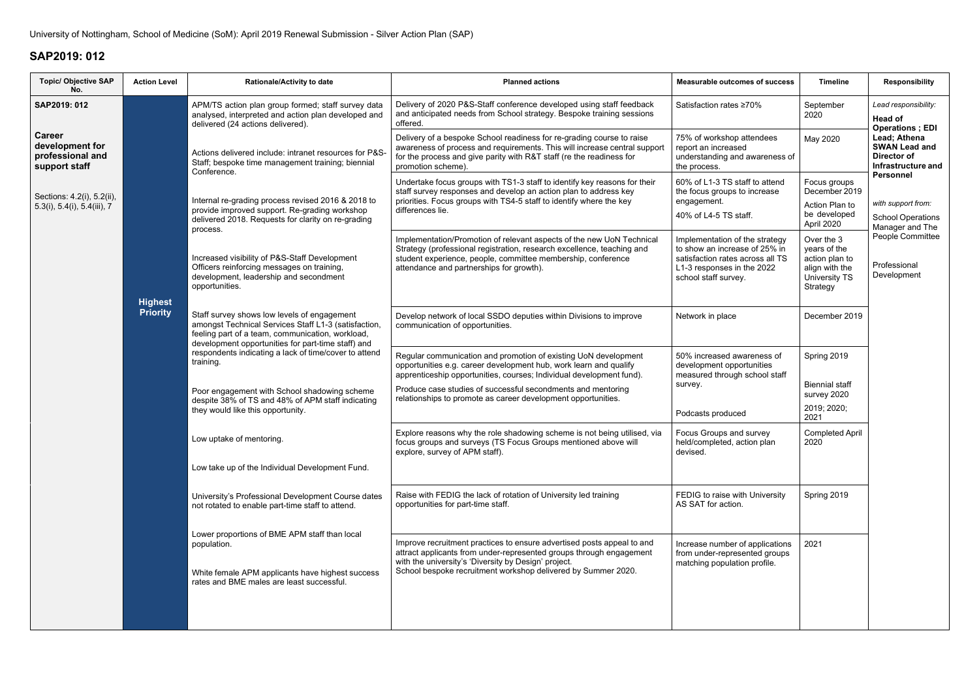| <b>Topic/ Objective SAP</b><br>No.                                    | <b>Action Level</b>                            | <b>Rationale/Activity to date</b>                                                                                                                                                                                                                                      | <b>Planned actions</b>                                                                                                                                                                                                                                                 | <b>Measurable outcomes of success</b>                                                                                                                     | <b>Timeline</b>                                                                             | <b>Responsibility</b>                                                            |  |
|-----------------------------------------------------------------------|------------------------------------------------|------------------------------------------------------------------------------------------------------------------------------------------------------------------------------------------------------------------------------------------------------------------------|------------------------------------------------------------------------------------------------------------------------------------------------------------------------------------------------------------------------------------------------------------------------|-----------------------------------------------------------------------------------------------------------------------------------------------------------|---------------------------------------------------------------------------------------------|----------------------------------------------------------------------------------|--|
| SAP2019: 012                                                          |                                                | APM/TS action plan group formed; staff survey data<br>analysed, interpreted and action plan developed and<br>delivered (24 actions delivered).                                                                                                                         | Delivery of 2020 P&S-Staff conference developed using staff feedback<br>and anticipated needs from School strategy. Bespoke training sessions<br>offered.                                                                                                              | Satisfaction rates ≥70%                                                                                                                                   | September<br>2020                                                                           | Lead responsibility:<br><b>Head of</b><br><b>Operations</b> ; EDI                |  |
| <b>Career</b><br>development for<br>professional and<br>support staff |                                                | Actions delivered include: intranet resources for P&S-<br>Staff; bespoke time management training; biennial<br>Conference.                                                                                                                                             | Delivery of a bespoke School readiness for re-grading course to raise<br>awareness of process and requirements. This will increase central support<br>for the process and give parity with R&T staff (re the readiness for<br>promotion scheme).                       | 75% of workshop attendees<br>report an increased<br>understanding and awareness of<br>the process.                                                        | May 2020                                                                                    | Lead; Athena<br><b>SWAN Lead and</b><br>Director of<br><b>Infrastructure and</b> |  |
| Sections: 4.2(i), 5.2(ii),<br>$5.3(i)$ , $5.4(i)$ , $5.4(iii)$ , $7$  |                                                | Internal re-grading process revised 2016 & 2018 to<br>provide improved support. Re-grading workshop<br>delivered 2018. Requests for clarity on re-grading                                                                                                              | Undertake focus groups with TS1-3 staff to identify key reasons for their<br>staff survey responses and develop an action plan to address key<br>priorities. Focus groups with TS4-5 staff to identify where the key<br>differences lie.                               | 60% of L1-3 TS staff to attend<br>the focus groups to increase<br>engagement.<br>40% of L4-5 TS staff.                                                    | Focus groups<br>December 2019<br>Action Plan to<br>be developed<br>April 2020               | Personnel<br>with support from:<br><b>School Operations</b><br>Manager and The   |  |
|                                                                       |                                                | process.<br>Increased visibility of P&S-Staff Development<br>Officers reinforcing messages on training,<br>development, leadership and secondment<br>opportunities.                                                                                                    | Implementation/Promotion of relevant aspects of the new UoN Technical<br>Strategy (professional registration, research excellence, teaching and<br>student experience, people, committee membership, conference<br>attendance and partnerships for growth).            | Implementation of the strategy<br>to show an increase of 25% in<br>satisfaction rates across all TS<br>L1-3 responses in the 2022<br>school staff survey. | Over the 3<br>years of the<br>action plan to<br>align with the<br>University TS<br>Strategy | People Committee<br>Professional<br>Development                                  |  |
|                                                                       | <b>Highest</b><br><b>Priority</b><br>training. | Staff survey shows low levels of engagement<br>amongst Technical Services Staff L1-3 (satisfaction,<br>feeling part of a team, communication, workload,<br>development opportunities for part-time staff) and<br>respondents indicating a lack of time/cover to attend | Develop network of local SSDO deputies within Divisions to improve<br>communication of opportunities.                                                                                                                                                                  | Network in place                                                                                                                                          | December 2019                                                                               |                                                                                  |  |
|                                                                       |                                                |                                                                                                                                                                                                                                                                        | Regular communication and promotion of existing UoN development<br>opportunities e.g. career development hub, work learn and qualify<br>apprenticeship opportunities, courses; Individual development fund).                                                           | 50% increased awareness of<br>development opportunities<br>measured through school staff                                                                  | Spring 2019                                                                                 |                                                                                  |  |
|                                                                       |                                                | Poor engagement with School shadowing scheme<br>despite 38% of TS and 48% of APM staff indicating<br>they would like this opportunity.                                                                                                                                 | Produce case studies of successful secondments and mentoring<br>relationships to promote as career development opportunities.                                                                                                                                          | survey.<br>Podcasts produced                                                                                                                              | <b>Biennial staff</b><br>survey 2020<br>2019; 2020;<br>2021                                 |                                                                                  |  |
|                                                                       |                                                | Low uptake of mentoring.                                                                                                                                                                                                                                               | Explore reasons why the role shadowing scheme is not being utilised, via<br>focus groups and surveys (TS Focus Groups mentioned above will<br>explore, survey of APM staff).                                                                                           | Focus Groups and survey<br>held/completed, action plan<br>devised.                                                                                        | <b>Completed April</b><br>2020                                                              |                                                                                  |  |
|                                                                       |                                                | Low take up of the Individual Development Fund.                                                                                                                                                                                                                        |                                                                                                                                                                                                                                                                        |                                                                                                                                                           |                                                                                             |                                                                                  |  |
|                                                                       |                                                | University's Professional Development Course dates<br>not rotated to enable part-time staff to attend.                                                                                                                                                                 | Raise with FEDIG the lack of rotation of University led training<br>opportunities for part-time staff.                                                                                                                                                                 | FEDIG to raise with University<br>AS SAT for action.                                                                                                      | Spring 2019                                                                                 |                                                                                  |  |
|                                                                       |                                                | Lower proportions of BME APM staff than local<br>population.<br>White female APM applicants have highest success<br>rates and BME males are least successful.                                                                                                          | Improve recruitment practices to ensure advertised posts appeal to and<br>attract applicants from under-represented groups through engagement<br>with the university's 'Diversity by Design' project.<br>School bespoke recruitment workshop delivered by Summer 2020. | Increase number of applications<br>from under-represented groups<br>matching population profile.                                                          | 2021                                                                                        |                                                                                  |  |
|                                                                       |                                                |                                                                                                                                                                                                                                                                        |                                                                                                                                                                                                                                                                        |                                                                                                                                                           |                                                                                             |                                                                                  |  |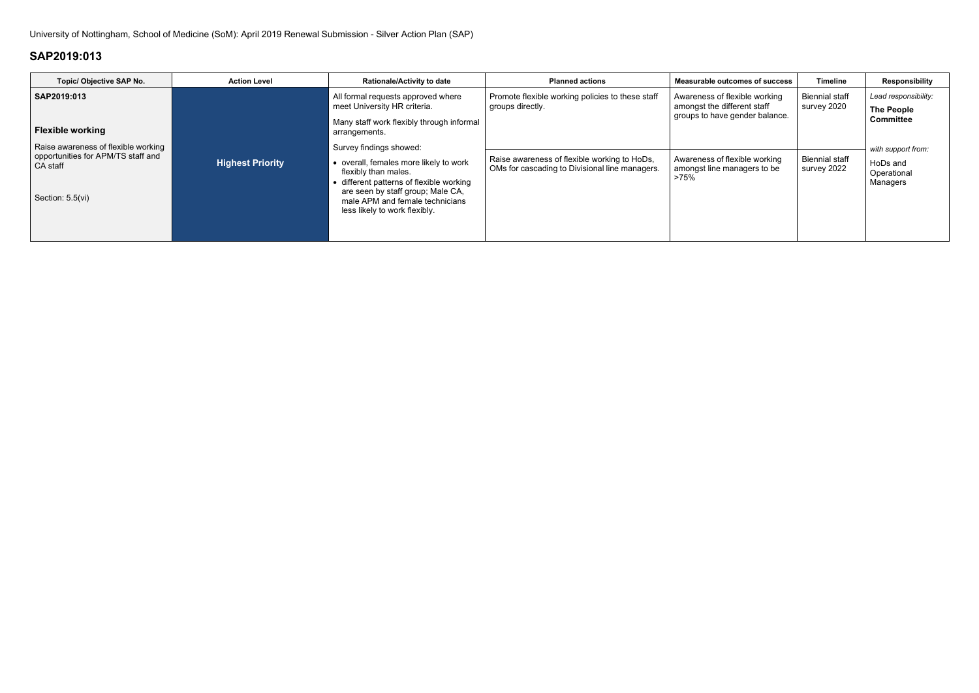| Topic/ Objective SAP No.                                                                                  | <b>Action Level</b>     | <b>Rationale/Activity to date</b>                                                                                                                                                                                                              | <b>Planned actions</b>                                                                         | <b>Measurable outcomes of success</b>                                | <b>Timeline</b>                      | Responsibility                                            |
|-----------------------------------------------------------------------------------------------------------|-------------------------|------------------------------------------------------------------------------------------------------------------------------------------------------------------------------------------------------------------------------------------------|------------------------------------------------------------------------------------------------|----------------------------------------------------------------------|--------------------------------------|-----------------------------------------------------------|
| SAP2019:013                                                                                               |                         | All formal requests approved where<br>meet University HR criteria.                                                                                                                                                                             | Promote flexible working policies to these staff<br>groups directly.                           | Awareness of flexible working<br>amongst the different staff         | <b>Biennial staff</b><br>survey 2020 | Lead responsibility:<br><b>The People</b>                 |
| <b>Flexible working</b>                                                                                   |                         | Many staff work flexibly through informal<br>arrangements.                                                                                                                                                                                     |                                                                                                | groups to have gender balance.                                       |                                      | <b>Committee</b>                                          |
| Raise awareness of flexible working<br>opportunities for APM/TS staff and<br>CA staff<br>Section: 5.5(vi) | <b>Highest Priority</b> | Survey findings showed:<br>• overall, females more likely to work<br>flexibly than males.<br>• different patterns of flexible working<br>are seen by staff group; Male CA,<br>male APM and female technicians<br>less likely to work flexibly. | Raise awareness of flexible working to HoDs,<br>OMs for cascading to Divisional line managers. | Awareness of flexible working<br>amongst line managers to be<br>>75% | <b>Biennial staff</b><br>survey 2022 | with support from:<br>HoDs and<br>Operational<br>Managers |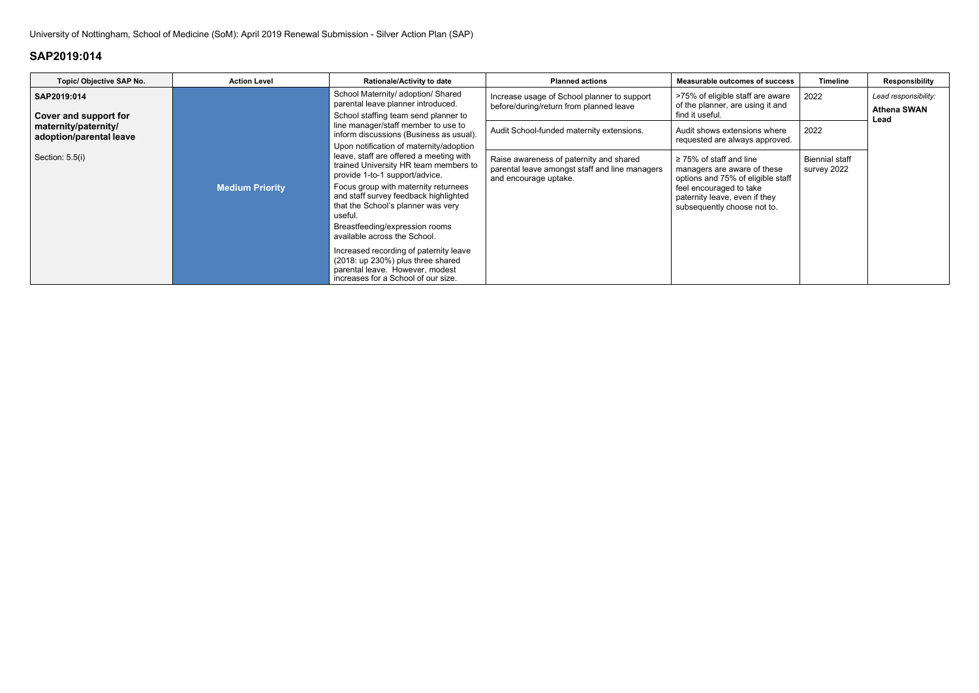| Topic/ Objective SAP No.                        | <b>Action Level</b>    | <b>Rationale/Activity to date</b>                                                                                                                                                                                                                                                                                                                                   | <b>Planned actions</b>                                                                                             | <b>Measurable outcomes of success</b>                                                                                                                                                       | Timeline                             | <b>Responsibility</b>                              |
|-------------------------------------------------|------------------------|---------------------------------------------------------------------------------------------------------------------------------------------------------------------------------------------------------------------------------------------------------------------------------------------------------------------------------------------------------------------|--------------------------------------------------------------------------------------------------------------------|---------------------------------------------------------------------------------------------------------------------------------------------------------------------------------------------|--------------------------------------|----------------------------------------------------|
| SAP2019:014<br>Cover and support for            | <b>Medium Priority</b> | School Maternity/ adoption/ Shared<br>parental leave planner introduced.<br>School staffing team send planner to<br>line manager/staff member to use to<br>inform discussions (Business as usual).<br>Upon notification of maternity/adoption<br>leave, staff are offered a meeting with<br>trained University HR team members to<br>provide 1-to-1 support/advice. | Increase usage of School planner to support<br>before/during/return from planned leave                             | >75% of eligible staff are aware<br>of the planner, are using it and<br>find it useful.                                                                                                     | 2022                                 | Lead responsibility:<br><b>Athena SWAN</b><br>Lead |
| maternity/paternity/<br>adoption/parental leave |                        |                                                                                                                                                                                                                                                                                                                                                                     | Audit School-funded maternity extensions.                                                                          | Audit shows extensions where<br>requested are always approved.                                                                                                                              | 2022                                 |                                                    |
| Section: 5.5(i)                                 |                        |                                                                                                                                                                                                                                                                                                                                                                     | Raise awareness of paternity and shared<br>parental leave amongst staff and line managers<br>and encourage uptake. | $\geq$ 75% of staff and line<br>managers are aware of these<br>options and 75% of eligible staff<br>feel encouraged to take<br>paternity leave, even if they<br>subsequently choose not to. | <b>Biennial staff</b><br>survey 2022 |                                                    |
|                                                 |                        | Focus group with maternity returnees<br>and staff survey feedback highlighted<br>that the School's planner was very<br>useful.                                                                                                                                                                                                                                      |                                                                                                                    |                                                                                                                                                                                             |                                      |                                                    |
|                                                 |                        | Breastfeeding/expression rooms<br>available across the School.                                                                                                                                                                                                                                                                                                      |                                                                                                                    |                                                                                                                                                                                             |                                      |                                                    |
|                                                 |                        | Increased recording of paternity leave<br>(2018: up 230%) plus three shared<br>parental leave. However, modest<br>increases for a School of our size.                                                                                                                                                                                                               |                                                                                                                    |                                                                                                                                                                                             |                                      |                                                    |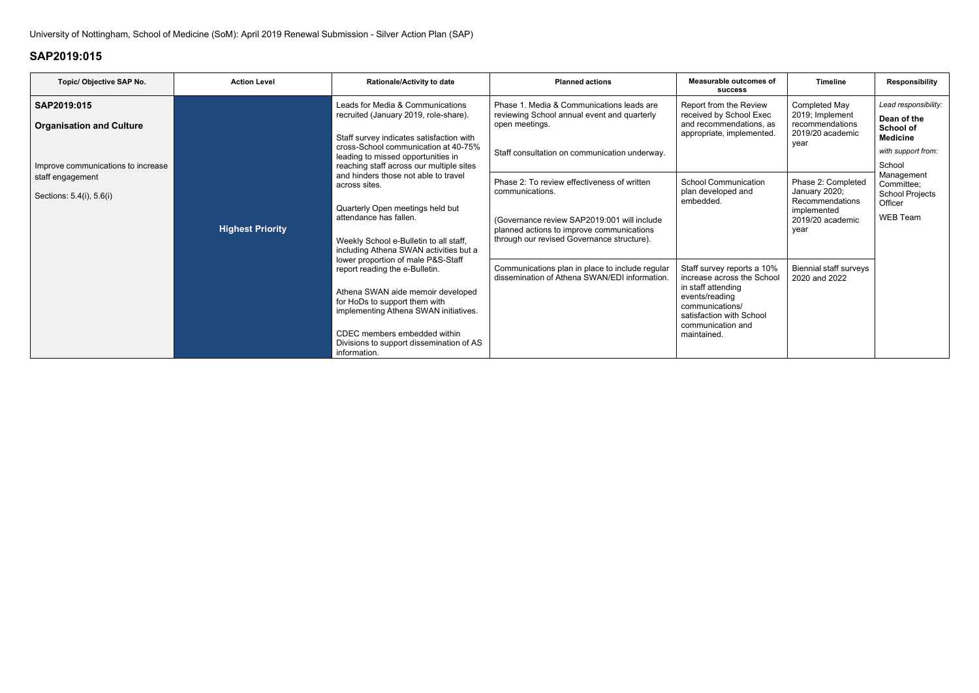| Topic/ Objective SAP No.                       | <b>Action Level</b>     | <b>Rationale/Activity to date</b>                                                                                                                                                                                                                                                                        | <b>Planned actions</b>                                                                                                                                      | Measurable outcomes of<br><b>SUCCESS</b>                                                                                                                                            | <b>Timeline</b>                                                                                   | <b>Responsibility</b>                                                                            |
|------------------------------------------------|-------------------------|----------------------------------------------------------------------------------------------------------------------------------------------------------------------------------------------------------------------------------------------------------------------------------------------------------|-------------------------------------------------------------------------------------------------------------------------------------------------------------|-------------------------------------------------------------------------------------------------------------------------------------------------------------------------------------|---------------------------------------------------------------------------------------------------|--------------------------------------------------------------------------------------------------|
| SAP2019:015<br><b>Organisation and Culture</b> |                         | Leads for Media & Communications<br>recruited (January 2019, role-share).<br>Staff survey indicates satisfaction with<br>cross-School communication at 40-75%<br>leading to missed opportunities in<br>reaching staff across our multiple sites<br>and hinders those not able to travel<br>across sites. | Phase 1. Media & Communications leads are<br>reviewing School annual event and quarterly<br>open meetings.<br>Staff consultation on communication underway. | Report from the Review<br>received by School Exec<br>and recommendations, as<br>appropriate, implemented.                                                                           | Completed May<br>2019; Implement<br>recommendations<br>2019/20 academic<br>vear                   | Lead responsibility:<br>Dean of the<br><b>School of</b><br><b>Medicine</b><br>with support from: |
| Improve communications to increase             |                         |                                                                                                                                                                                                                                                                                                          |                                                                                                                                                             |                                                                                                                                                                                     |                                                                                                   | School                                                                                           |
| staff engagement<br>Sections: 5.4(i), 5.6(i)   |                         |                                                                                                                                                                                                                                                                                                          | Phase 2: To review effectiveness of written<br>communications.                                                                                              | <b>School Communication</b><br>plan developed and                                                                                                                                   | Phase 2: Completed<br>January 2020;<br>Recommendations<br>implemented<br>2019/20 academic<br>vear | Management<br>Committee;<br><b>School Projects</b><br>Officer<br>WEB Team                        |
|                                                | <b>Highest Priority</b> | Quarterly Open meetings held but<br>attendance has fallen.<br>Weekly School e-Bulletin to all staff,<br>including Athena SWAN activities but a                                                                                                                                                           | (Governance review SAP2019:001 will include<br>planned actions to improve communications<br>through our revised Governance structure).                      | embedded                                                                                                                                                                            |                                                                                                   |                                                                                                  |
|                                                |                         | lower proportion of male P&S-Staff<br>report reading the e-Bulletin.<br>Athena SWAN aide memoir developed<br>for HoDs to support them with<br>implementing Athena SWAN initiatives.<br>CDEC members embedded within<br>Divisions to support dissemination of AS<br>information.                          | Communications plan in place to include regular<br>dissemination of Athena SWAN/EDI information.                                                            | Staff survey reports a 10%<br>increase across the School<br>in staff attending<br>events/reading<br>communications/<br>satisfaction with School<br>communication and<br>maintained. | <b>Biennial staff surveys</b><br>2020 and 2022                                                    |                                                                                                  |